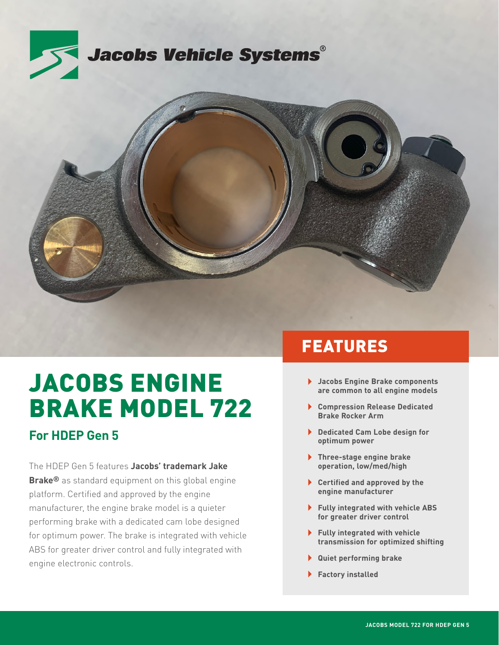



# JACOBS ENGINE BRAKE MODEL 722

### **For HDEP Gen 5**

The HDEP Gen 5 features **Jacobs' trademark Jake Brake®** as standard equipment on this global engine platform. Certified and approved by the engine manufacturer, the engine brake model is a quieter performing brake with a dedicated cam lobe designed for optimum power. The brake is integrated with vehicle ABS for greater driver control and fully integrated with engine electronic controls.

# FEATURES

- **Jacobs Engine Brake components are common to all engine models**
- **Compression Release Dedicated Brake Rocker Arm**
- **Dedicated Cam Lobe design for optimum power**
- **Three-stage engine brake operation, low/med/high**
- **Certified and approved by the engine manufacturer**
- **Fully integrated with vehicle ABS for greater driver control**
- **Fully integrated with vehicle transmission for optimized shifting**
- **Quiet performing brake**
- **Factory installed**